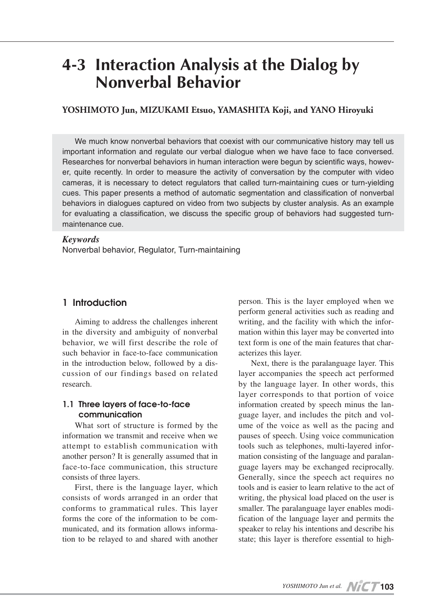# **4-3 Interaction Analysis at the Dialog by Nonverbal Behavior**

## **YOSHIMOTO Jun, MIZUKAMI Etsuo, YAMASHITA Koji, and YANO Hiroyuki**

We much know nonverbal behaviors that coexist with our communicative history may tell us important information and regulate our verbal dialogue when we have face to face conversed. Researches for nonverbal behaviors in human interaction were begun by scientific ways, however, quite recently. In order to measure the activity of conversation by the computer with video cameras, it is necessary to detect regulators that called turn-maintaining cues or turn-yielding cues. This paper presents a method of automatic segmentation and classification of nonverbal behaviors in dialogues captured on video from two subjects by cluster analysis. As an example for evaluating a classification, we discuss the specific group of behaviors had suggested turnmaintenance cue.

#### *Keywords*

Nonverbal behavior, Regulator, Turn-maintaining

#### **1 Introduction**

Aiming to address the challenges inherent in the diversity and ambiguity of nonverbal behavior, we will first describe the role of such behavior in face-to-face communication in the introduction below, followed by a discussion of our findings based on related research.

#### **1.1 Three layers of face-to-face communication**

What sort of structure is formed by the information we transmit and receive when we attempt to establish communication with another person? It is generally assumed that in face-to-face communication, this structure consists of three layers.

First, there is the language layer, which consists of words arranged in an order that conforms to grammatical rules. This layer forms the core of the information to be communicated, and its formation allows information to be relayed to and shared with another person. This is the layer employed when we perform general activities such as reading and writing, and the facility with which the information within this layer may be converted into text form is one of the main features that characterizes this layer.

Next, there is the paralanguage layer. This layer accompanies the speech act performed by the language layer. In other words, this layer corresponds to that portion of voice information created by speech minus the language layer, and includes the pitch and volume of the voice as well as the pacing and pauses of speech. Using voice communication tools such as telephones, multi-layered information consisting of the language and paralanguage layers may be exchanged reciprocally. Generally, since the speech act requires no tools and is easier to learn relative to the act of writing, the physical load placed on the user is smaller. The paralanguage layer enables modification of the language layer and permits the speaker to relay his intentions and describe his state; this layer is therefore essential to high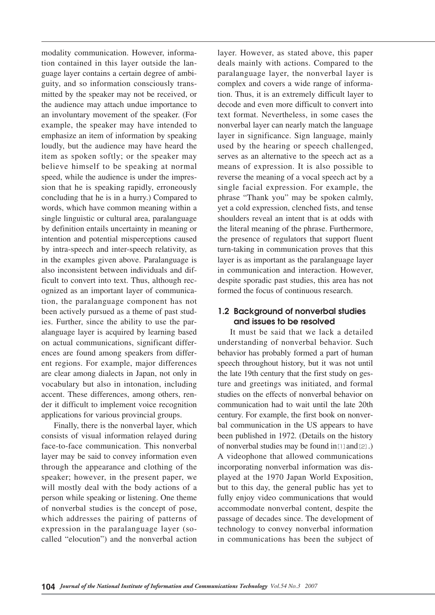modality communication. However, information contained in this layer outside the language layer contains a certain degree of ambiguity, and so information consciously transmitted by the speaker may not be received, or the audience may attach undue importance to an involuntary movement of the speaker. (For example, the speaker may have intended to emphasize an item of information by speaking loudly, but the audience may have heard the item as spoken softly; or the speaker may believe himself to be speaking at normal speed, while the audience is under the impression that he is speaking rapidly, erroneously concluding that he is in a hurry.) Compared to words, which have common meaning within a single linguistic or cultural area, paralanguage by definition entails uncertainty in meaning or intention and potential misperceptions caused by intra-speech and inter-speech relativity, as in the examples given above. Paralanguage is also inconsistent between individuals and difficult to convert into text. Thus, although recognized as an important layer of communication, the paralanguage component has not been actively pursued as a theme of past studies. Further, since the ability to use the paralanguage layer is acquired by learning based on actual communications, significant differences are found among speakers from different regions. For example, major differences are clear among dialects in Japan, not only in vocabulary but also in intonation, including accent. These differences, among others, render it difficult to implement voice recognition applications for various provincial groups.

Finally, there is the nonverbal layer, which consists of visual information relayed during face-to-face communication. This nonverbal layer may be said to convey information even through the appearance and clothing of the speaker; however, in the present paper, we will mostly deal with the body actions of a person while speaking or listening. One theme of nonverbal studies is the concept of pose, which addresses the pairing of patterns of expression in the paralanguage layer (socalled "elocution") and the nonverbal action

layer. However, as stated above, this paper deals mainly with actions. Compared to the paralanguage layer, the nonverbal layer is complex and covers a wide range of information. Thus, it is an extremely difficult layer to decode and even more difficult to convert into text format. Nevertheless, in some cases the nonverbal layer can nearly match the language layer in significance. Sign language, mainly used by the hearing or speech challenged, serves as an alternative to the speech act as a means of expression. It is also possible to reverse the meaning of a vocal speech act by a single facial expression. For example, the phrase "Thank you" may be spoken calmly, yet a cold expression, clenched fists, and tense shoulders reveal an intent that is at odds with the literal meaning of the phrase. Furthermore, the presence of regulators that support fluent turn-taking in communication proves that this layer is as important as the paralanguage layer in communication and interaction. However, despite sporadic past studies, this area has not formed the focus of continuous research.

#### **1.2 Background of nonverbal studies and issues to be resolved**

It must be said that we lack a detailed understanding of nonverbal behavior. Such behavior has probably formed a part of human speech throughout history, but it was not until the late 19th century that the first study on gesture and greetings was initiated, and formal studies on the effects of nonverbal behavior on communication had to wait until the late 20th century. For example, the first book on nonverbal communication in the US appears to have been published in 1972. (Details on the history of nonverbal studies may be found in $[1]$  and  $[2]$ .) A videophone that allowed communications incorporating nonverbal information was displayed at the 1970 Japan World Exposition, but to this day, the general public has yet to fully enjoy video communications that would accommodate nonverbal content, despite the passage of decades since. The development of technology to convey nonverbal information in communications has been the subject of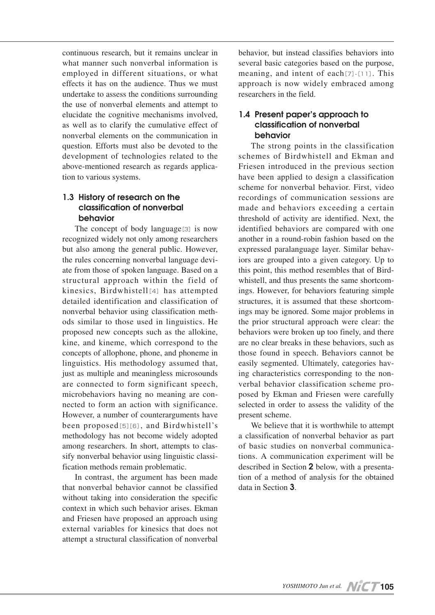continuous research, but it remains unclear in what manner such nonverbal information is employed in different situations, or what effects it has on the audience. Thus we must undertake to assess the conditions surrounding the use of nonverbal elements and attempt to elucidate the cognitive mechanisms involved, as well as to clarify the cumulative effect of nonverbal elements on the communication in question. Efforts must also be devoted to the development of technologies related to the above-mentioned research as regards application to various systems.

## **1.3 History of research on the classification of nonverbal behavior**

The concept of body language<sup>[3]</sup> is now recognized widely not only among researchers but also among the general public. However, the rules concerning nonverbal language deviate from those of spoken language. Based on a structural approach within the field of kinesics, Birdwhistell[4] has attempted detailed identification and classification of nonverbal behavior using classification methods similar to those used in linguistics. He proposed new concepts such as the allokine, kine, and kineme, which correspond to the concepts of allophone, phone, and phoneme in linguistics. His methodology assumed that, just as multiple and meaningless microsounds are connected to form significant speech, microbehaviors having no meaning are connected to form an action with significance. However, a number of counterarguments have been proposed[5][6], and Birdwhistell's methodology has not become widely adopted among researchers. In short, attempts to classify nonverbal behavior using linguistic classification methods remain problematic.

In contrast, the argument has been made that nonverbal behavior cannot be classified without taking into consideration the specific context in which such behavior arises. Ekman and Friesen have proposed an approach using external variables for kinesics that does not attempt a structural classification of nonverbal

behavior, but instead classifies behaviors into several basic categories based on the purpose, meaning, and intent of each $[7]$ - $[11]$ . This approach is now widely embraced among researchers in the field.

### **1.4 Present paper's approach to classification of nonverbal behavior**

The strong points in the classification schemes of Birdwhistell and Ekman and Friesen introduced in the previous section have been applied to design a classification scheme for nonverbal behavior. First, video recordings of communication sessions are made and behaviors exceeding a certain threshold of activity are identified. Next, the identified behaviors are compared with one another in a round-robin fashion based on the expressed paralanguage layer. Similar behaviors are grouped into a given category. Up to this point, this method resembles that of Birdwhistell, and thus presents the same shortcomings. However, for behaviors featuring simple structures, it is assumed that these shortcomings may be ignored. Some major problems in the prior structural approach were clear: the behaviors were broken up too finely, and there are no clear breaks in these behaviors, such as those found in speech. Behaviors cannot be easily segmented. Ultimately, categories having characteristics corresponding to the nonverbal behavior classification scheme proposed by Ekman and Friesen were carefully selected in order to assess the validity of the present scheme.

We believe that it is worthwhile to attempt a classification of nonverbal behavior as part of basic studies on nonverbal communications. A communication experiment will be described in Section **2** below, with a presentation of a method of analysis for the obtained data in Section **3**.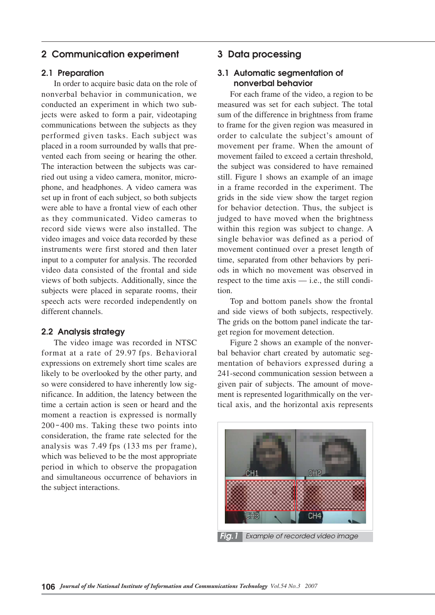# **2 Communication experiment**

#### **2.1 Preparation**

In order to acquire basic data on the role of nonverbal behavior in communication, we conducted an experiment in which two subjects were asked to form a pair, videotaping communications between the subjects as they performed given tasks. Each subject was placed in a room surrounded by walls that prevented each from seeing or hearing the other. The interaction between the subjects was carried out using a video camera, monitor, microphone, and headphones. A video camera was set up in front of each subject, so both subjects were able to have a frontal view of each other as they communicated. Video cameras to record side views were also installed. The video images and voice data recorded by these instruments were first stored and then later input to a computer for analysis. The recorded video data consisted of the frontal and side views of both subjects. Additionally, since the subjects were placed in separate rooms, their speech acts were recorded independently on different channels.

#### **2.2 Analysis strategy**

The video image was recorded in NTSC format at a rate of 29.97 fps. Behavioral expressions on extremely short time scales are likely to be overlooked by the other party, and so were considered to have inherently low significance. In addition, the latency between the time a certain action is seen or heard and the moment a reaction is expressed is normally 200-400 ms. Taking these two points into consideration, the frame rate selected for the analysis was 7.49 fps (133 ms per frame), which was believed to be the most appropriate period in which to observe the propagation and simultaneous occurrence of behaviors in the subject interactions.

## **3 Data processing**

## **3.1 Automatic segmentation of nonverbal behavior**

For each frame of the video, a region to be measured was set for each subject. The total sum of the difference in brightness from frame to frame for the given region was measured in order to calculate the subject's amount of movement per frame. When the amount of movement failed to exceed a certain threshold, the subject was considered to have remained still. Figure 1 shows an example of an image in a frame recorded in the experiment. The grids in the side view show the target region for behavior detection. Thus, the subject is judged to have moved when the brightness within this region was subject to change. A single behavior was defined as a period of movement continued over a preset length of time, separated from other behaviors by periods in which no movement was observed in respect to the time axis — i.e., the still condition.

Top and bottom panels show the frontal and side views of both subjects, respectively. The grids on the bottom panel indicate the target region for movement detection.

Figure 2 shows an example of the nonverbal behavior chart created by automatic segmentation of behaviors expressed during a  $241$ -second communication session between a given pair of subjects. The amount of movement is represented logarithmically on the vertical axis, and the horizontal axis represents

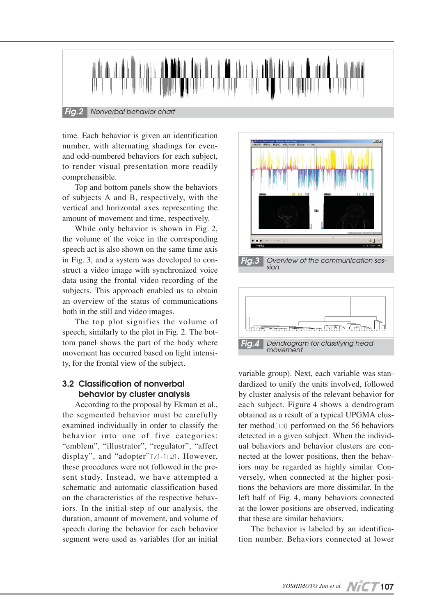

time. Each behavior is given an identification number, with alternating shadings for evenand odd-numbered behaviors for each subject, to render visual presentation more readily comprehensible.

Top and bottom panels show the behaviors of subjects A and B, respectively, with the vertical and horizontal axes representing the amount of movement and time, respectively.

While only behavior is shown in Fig. 2, the volume of the voice in the corresponding speech act is also shown on the same time axis in Fig. 3, and a system was developed to construct a video image with synchronized voice data using the frontal video recording of the subjects. This approach enabled us to obtain an overview of the status of communications both in the still and video images.

The top plot signifies the volume of speech, similarly to the plot in Fig. 2. The bottom panel shows the part of the body where movement has occurred based on light intensity, for the frontal view of the subject.

# **3.2 Classification of nonverbal behavior by cluster analysis**

According to the proposal by Ekman et al., the segmented behavior must be carefully examined individually in order to classify the behavior into one of five categories: "emblem", "illustrator", "regulator", "affect display", and "adopter" $[7]$ - $[12]$ . However, these procedures were not followed in the present study. Instead, we have attempted a schematic and automatic classification based on the characteristics of the respective behaviors. In the initial step of our analysis, the duration, amount of movement, and volume of speech during the behavior for each behavior segment were used as variables (for an initial



variable group). Next, each variable was standardized to unify the units involved, followed by cluster analysis of the relevant behavior for each subject. Figure 4 shows a dendrogram obtained as a result of a typical UPGMA cluster method $[13]$  performed on the 56 behaviors detected in a given subject. When the individual behaviors and behavior clusters are connected at the lower positions, then the behaviors may be regarded as highly similar. Conversely, when connected at the higher positions the behaviors are more dissimilar. In the left half of Fig. 4, many behaviors connected at the lower positions are observed, indicating that these are similar behaviors.

The behavior is labeled by an identification number. Behaviors connected at lower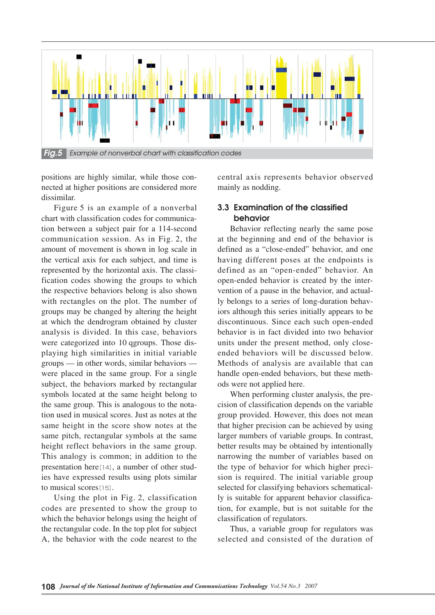

positions are highly similar, while those connected at higher positions are considered more dissimilar.

Figure 5 is an example of a nonverbal chart with classification codes for communication between a subject pair for a  $114$ -second communication session. As in Fig. 2, the amount of movement is shown in log scale in the vertical axis for each subject, and time is represented by the horizontal axis. The classification codes showing the groups to which the respective behaviors belong is also shown with rectangles on the plot. The number of groups may be changed by altering the height at which the dendrogram obtained by cluster analysis is divided. In this case, behaviors were categorized into 10 qgroups. Those displaying high similarities in initial variable groups — in other words, similar behaviors were placed in the same group. For a single subject, the behaviors marked by rectangular symbols located at the same height belong to the same group. This is analogous to the notation used in musical scores. Just as notes at the same height in the score show notes at the same pitch, rectangular symbols at the same height reflect behaviors in the same group. This analogy is common; in addition to the presentation here[14], a number of other studies have expressed results using plots similar to musical scores[15].

Using the plot in Fig. 2, classification codes are presented to show the group to which the behavior belongs using the height of the rectangular code. In the top plot for subject A, the behavior with the code nearest to the

central axis represents behavior observed mainly as nodding.

## **3.3 Examination of the classified behavior**

Behavior reflecting nearly the same pose at the beginning and end of the behavior is defined as a "close-ended" behavior, and one having different poses at the endpoints is defined as an "open-ended" behavior. An open-ended behavior is created by the intervention of a pause in the behavior, and actually belongs to a series of long-duration behaviors although this series initially appears to be discontinuous. Since each such open-ended behavior is in fact divided into two behavior units under the present method, only closeended behaviors will be discussed below. Methods of analysis are available that can handle open-ended behaviors, but these methods were not applied here.

When performing cluster analysis, the precision of classification depends on the variable group provided. However, this does not mean that higher precision can be achieved by using larger numbers of variable groups. In contrast, better results may be obtained by intentionally narrowing the number of variables based on the type of behavior for which higher precision is required. The initial variable group selected for classifying behaviors schematically is suitable for apparent behavior classification, for example, but is not suitable for the classification of regulators.

Thus, a variable group for regulators was selected and consisted of the duration of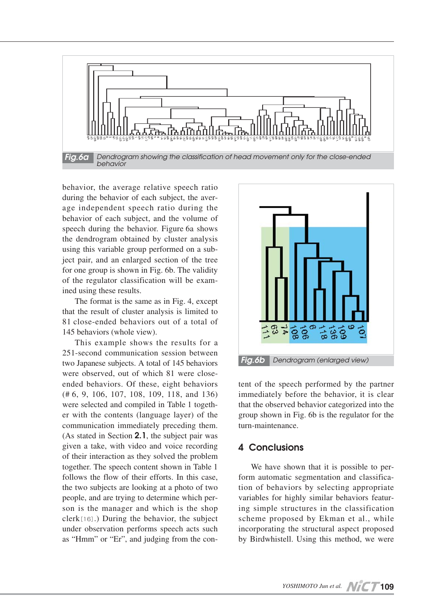

behavior, the average relative speech ratio during the behavior of each subject, the average independent speech ratio during the behavior of each subject, and the volume of speech during the behavior. Figure 6a shows the dendrogram obtained by cluster analysis using this variable group performed on a subject pair, and an enlarged section of the tree for one group is shown in Fig. 6b. The validity of the regulator classification will be examined using these results.

The format is the same as in Fig. 4, except that the result of cluster analysis is limited to 81 close-ended behaviors out of a total of 145 behaviors (whole view).

This example shows the results for a 251-second communication session between two Japanese subjects. A total of 145 behaviors were observed, out of which 81 were closeended behaviors. Of these, eight behaviors (# 6, 9, 106, 107, 108, 109, 118, and 136) were selected and compiled in Table 1 together with the contents (language layer) of the communication immediately preceding them. (As stated in Section **2.1**, the subject pair was given a take, with video and voice recording of their interaction as they solved the problem together. The speech content shown in Table 1 follows the flow of their efforts. In this case, the two subjects are looking at a photo of two people, and are trying to determine which person is the manager and which is the shop clerk[16].) During the behavior, the subject under observation performs speech acts such as "Hmm" or "Er", and judging from the con-



tent of the speech performed by the partner immediately before the behavior, it is clear that the observed behavior categorized into the group shown in Fig. 6b is the regulator for the turn-maintenance.

# **4 Conclusions**

We have shown that it is possible to perform automatic segmentation and classification of behaviors by selecting appropriate variables for highly similar behaviors featuring simple structures in the classification scheme proposed by Ekman et al., while incorporating the structural aspect proposed by Birdwhistell. Using this method, we were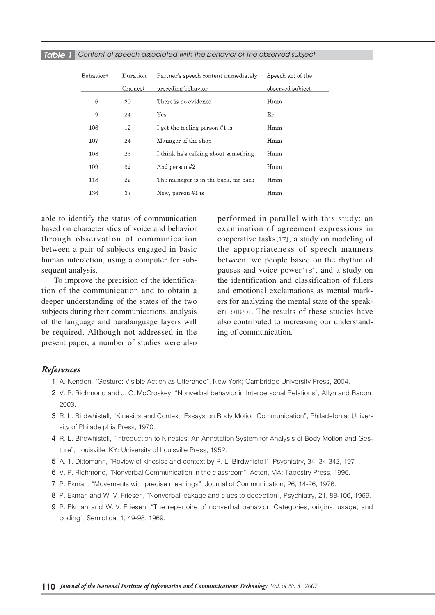| Behavior# | Duration | Partner's speech content immediately | Speech act of the |
|-----------|----------|--------------------------------------|-------------------|
|           | (frames) | preceding behavior                   | observed subject  |
| 6         | 20       | There is no evidence                 | Hmm               |
| 9         | 24       | Yes                                  | Er                |
| 106       | 12       | I get the feeling person #1 is       | Hmm               |
| 107       | 24       | Manager of the shop                  | Hmm               |
| 108       | 23       | I think he's talking about something | Hmm               |
| 109       | 32       | And person #2                        | Hmm               |
| 118       | 22       | The manager is in the back, far back | Hmm               |
| 136       | 37       | Now, person #1 is                    | Hmm               |

*Table 1 Content of speech associated with the behavior of the observed subject*

able to identify the status of communication based on characteristics of voice and behavior through observation of communication between a pair of subjects engaged in basic human interaction, using a computer for subsequent analysis.

To improve the precision of the identification of the communication and to obtain a deeper understanding of the states of the two subjects during their communications, analysis of the language and paralanguage layers will be required. Although not addressed in the present paper, a number of studies were also performed in parallel with this study: an examination of agreement expressions in cooperative tasks[17], a study on modeling of the appropriateness of speech manners between two people based on the rhythm of pauses and voice power[18], and a study on the identification and classification of fillers and emotional exclamations as mental markers for analyzing the mental state of the speaker[19][20]. The results of these studies have also contributed to increasing our understanding of communication.

#### *References*

- 01 A. Kendon, "Gesture: Visible Action as Utterance", New York; Cambridge University Press, 2004.
- 2 V. P. Richmond and J. C. McCroskey, "Nonverbal behavior in Interpersonal Relations", Allyn and Bacon, 2003.
- 3 R. L. Birdwhistell, "Kinesics and Context: Essays on Body Motion Communication", Philadelphia: University of Philadelphia Press, 1970.
- 04 R. L. Birdwhistell, "Introduction to Kinesics: An Annotation System for Analysis of Body Motion and Gesture", Louisville, KY: University of Louisville Press, 1952.
- 05 A. T. Dittomann, "Review of kinesics and context by R. L. Birdwhistell", Psychiatry, 34, 34-342, 1971.
- 06 V. P. Richmond, "Nonverbal Communication in the classroom", Acton, MA: Tapestry Press, 1996.
- 07 P. Ekman, "Movements with precise meanings", Journal of Communication, 26, 14-26, 1976.
- 08 P. Ekman and W. V. Friesen, "Nonverbal leakage and clues to deception", Psychiatry, 21, 88-106, 1969.
- 09 P. Ekman and W. V. Friesen, "The repertoire of nonverbal behavior: Categories, origins, usage, and coding", Semiotica, 1, 49-98, 1969.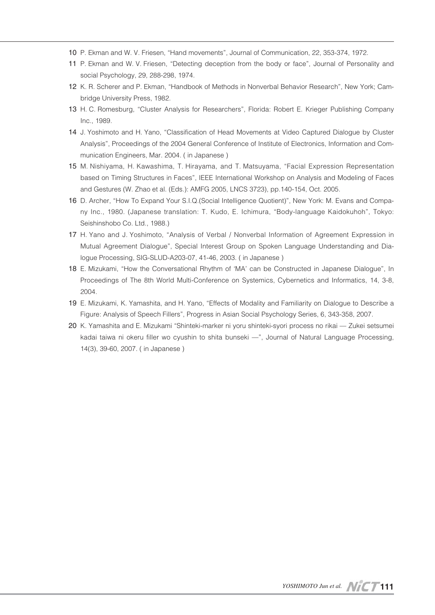- 10 P. Ekman and W. V. Friesen, "Hand movements", Journal of Communication, 22, 353-374, 1972.
- 11 P. Ekman and W. V. Friesen, "Detecting deception from the body or face", Journal of Personality and social Psychology, 29, 288-298, 1974.
- 12 K. R. Scherer and P. Ekman, "Handbook of Methods in Nonverbal Behavior Research", New York; Cambridge University Press, 1982.
- 13 H. C. Romesburg, "Cluster Analysis for Researchers", Florida: Robert E. Krieger Publishing Company Inc., 1989.
- 14 J. Yoshimoto and H. Yano, "Classification of Head Movements at Video Captured Dialogue by Cluster Analysis", Proceedings of the 2004 General Conference of Institute of Electronics, Information and Communication Engineers, Mar. 2004. ( in Japanese )
- 15 M. Nishiyama, H. Kawashima, T. Hirayama, and T. Matsuyama, "Facial Expression Representation based on Timing Structures in Faces", IEEE International Workshop on Analysis and Modeling of Faces and Gestures (W. Zhao et al. (Eds.): AMFG 2005, LNCS 3723), pp.140-154, Oct. 2005.
- 16 D. Archer, "How To Expand Your S.I.Q.(Social Intelligence Quotient)", New York: M. Evans and Company Inc., 1980. (Japanese translation: T. Kudo, E. Ichimura, "Body-language Kaidokuhoh", Tokyo: Seishinshobo Co. Ltd., 1988.)
- 17 H. Yano and J. Yoshimoto, "Analysis of Verbal / Nonverbal Information of Agreement Expression in Mutual Agreement Dialogue", Special Interest Group on Spoken Language Understanding and Dialogue Processing, SIG-SLUD-A203-07, 41-46, 2003. ( in Japanese )
- 18 E. Mizukami, "How the Conversational Rhythm of 'MA' can be Constructed in Japanese Dialogue", In Proceedings of The 8th World Multi-Conference on Systemics, Cybernetics and Informatics, 14, 3-8, 2004.
- 19 E. Mizukami, K. Yamashita, and H. Yano, "Effects of Modality and Familiarity on Dialogue to Describe a Figure: Analysis of Speech Fillers", Progress in Asian Social Psychology Series, 6, 343-358, 2007.
- 20 K. Yamashita and E. Mizukami "Shinteki-marker ni yoru shinteki-syori process no rikai Zukei setsumei kadai taiwa ni okeru filler wo cyushin to shita bunseki —", Journal of Natural Language Processing, 14(3), 39-60, 2007. ( in Japanese )